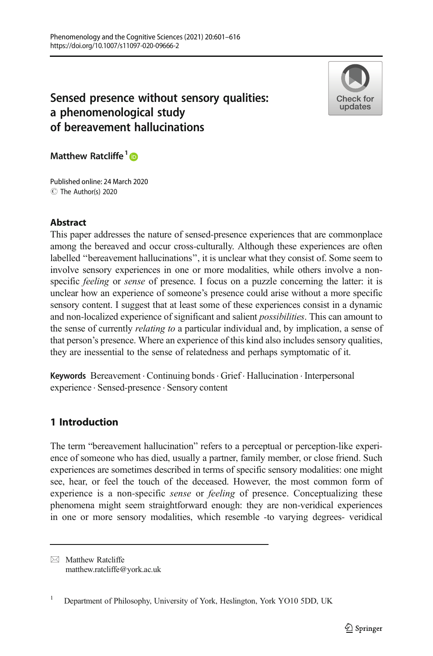

# Sensed presence without sensory qualities: a phenomenological study of bereavement hallucinations

Matthew Ratcliffe<sup>1</sup>

C The Author(s) 2020 Published online: 24 March 2020

### Abstract

This paper addresses the nature of sensed-presence experiences that are commonplace among the bereaved and occur cross-culturally. Although these experiences are often labelled ''bereavement hallucinations'', it is unclear what they consist of. Some seem to involve sensory experiences in one or more modalities, while others involve a nonspecific *feeling* or *sense* of presence. I focus on a puzzle concerning the latter: it is unclear how an experience of someone's presence could arise without a more specific sensory content. I suggest that at least some of these experiences consist in a dynamic and non-localized experience of significant and salient possibilities. This can amount to the sense of currently *relating to* a particular individual and, by implication, a sense of that person's presence. Where an experience of this kind also includes sensory qualities, they are inessential to the sense of relatedness and perhaps symptomatic of it.

Keywords Bereavement . Continuing bonds. Grief . Hallucination . Interpersonal experience . Sensed-presence . Sensory content

## 1 Introduction

The term "bereavement hallucination" refers to a perceptual or perception-like experience of someone who has died, usually a partner, family member, or close friend. Such experiences are sometimes described in terms of specific sensory modalities: one might see, hear, or feel the touch of the deceased. However, the most common form of experience is a non-specific *sense* or *feeling* of presence. Conceptualizing these phenomena might seem straightforward enough: they are non-veridical experiences in one or more sensory modalities, which resemble -to varying degrees- veridical

 $\boxtimes$  Matthew Ratcliffe [matthew.ratcliffe@york.ac.uk](mailto:matthew.ratcliffe@york.ac.uk)

<sup>&</sup>lt;sup>1</sup> Department of Philosophy, University of York, Heslington, York YO10 5DD, UK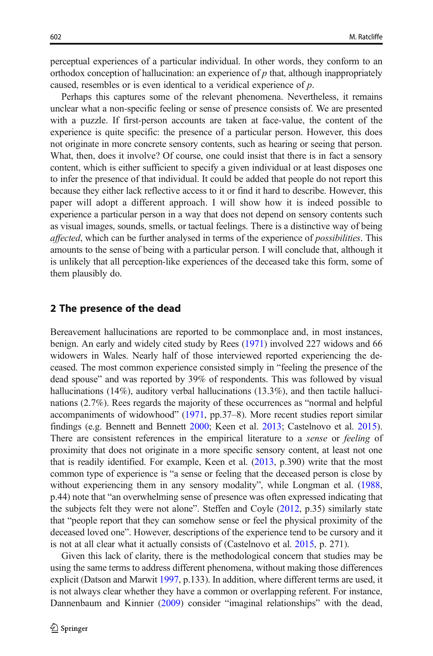perceptual experiences of a particular individual. In other words, they conform to an orthodox conception of hallucination: an experience of  $p$  that, although inappropriately caused, resembles or is even identical to a veridical experience of p.

Perhaps this captures some of the relevant phenomena. Nevertheless, it remains unclear what a non-specific feeling or sense of presence consists of. We are presented with a puzzle. If first-person accounts are taken at face-value, the content of the experience is quite specific: the presence of a particular person. However, this does not originate in more concrete sensory contents, such as hearing or seeing that person. What, then, does it involve? Of course, one could insist that there is in fact a sensory content, which is either sufficient to specify a given individual or at least disposes one to infer the presence of that individual. It could be added that people do not report this because they either lack reflective access to it or find it hard to describe. However, this paper will adopt a different approach. I will show how it is indeed possible to experience a particular person in a way that does not depend on sensory contents such as visual images, sounds, smells, or tactual feelings. There is a distinctive way of being affected, which can be further analysed in terms of the experience of *possibilities*. This amounts to the sense of being with a particular person. I will conclude that, although it is unlikely that all perception-like experiences of the deceased take this form, some of them plausibly do.

#### 2 The presence of the dead

Bereavement hallucinations are reported to be commonplace and, in most instances, benign. An early and widely cited study by Rees ([1971](#page-15-0)) involved 227 widows and 66 widowers in Wales. Nearly half of those interviewed reported experiencing the deceased. The most common experience consisted simply in "feeling the presence of the dead spouse" and was reported by 39% of respondents. This was followed by visual hallucinations (14%), auditory verbal hallucinations (13.3%), and then tactile hallucinations (2.7%). Rees regards the majority of these occurrences as "normal and helpful accompaniments of widowhood" ([1971](#page-15-0), pp.37–8). More recent studies report similar findings (e.g. Bennett and Bennett [2000](#page-14-0); Keen et al. [2013;](#page-15-0) Castelnovo et al. [2015\)](#page-14-0). There are consistent references in the empirical literature to a sense or feeling of proximity that does not originate in a more specific sensory content, at least not one that is readily identified. For example, Keen et al. [\(2013](#page-15-0), p.390) write that the most common type of experience is "a sense or feeling that the deceased person is close by without experiencing them in any sensory modality", while Longman et al. [\(1988,](#page-15-0) p.44) note that "an overwhelming sense of presence was often expressed indicating that the subjects felt they were not alone". Steffen and Coyle [\(2012,](#page-15-0) p.35) similarly state that "people report that they can somehow sense or feel the physical proximity of the deceased loved one". However, descriptions of the experience tend to be cursory and it is not at all clear what it actually consists of (Castelnovo et al. [2015,](#page-14-0) p. 271).

Given this lack of clarity, there is the methodological concern that studies may be using the same terms to address different phenomena, without making those differences explicit (Datson and Marwit [1997](#page-14-0), p.133). In addition, where different terms are used, it is not always clear whether they have a common or overlapping referent. For instance, Dannenbaum and Kinnier ([2009](#page-15-0)) consider "imaginal relationships" with the dead,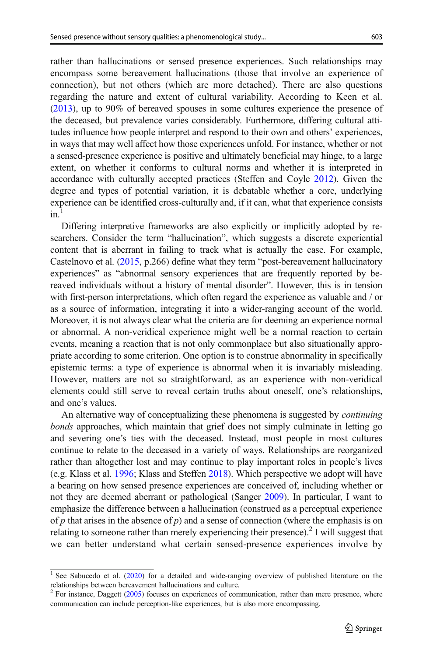rather than hallucinations or sensed presence experiences. Such relationships may encompass some bereavement hallucinations (those that involve an experience of connection), but not others (which are more detached). There are also questions regarding the nature and extent of cultural variability. According to Keen et al. [\(2013\)](#page-15-0), up to 90% of bereaved spouses in some cultures experience the presence of the deceased, but prevalence varies considerably. Furthermore, differing cultural attitudes influence how people interpret and respond to their own and others' experiences, in ways that may well affect how those experiences unfold. For instance, whether or not a sensed-presence experience is positive and ultimately beneficial may hinge, to a large extent, on whether it conforms to cultural norms and whether it is interpreted in accordance with culturally accepted practices (Steffen and Coyle [2012\)](#page-15-0). Given the degree and types of potential variation, it is debatable whether a core, underlying experience can be identified cross-culturally and, if it can, what that experience consists  $\sin^{-1}$ 

Differing interpretive frameworks are also explicitly or implicitly adopted by researchers. Consider the term "hallucination", which suggests a discrete experiential content that is aberrant in failing to track what is actually the case. For example, Castelnovo et al. ([2015](#page-14-0), p.266) define what they term "post-bereavement hallucinatory experiences" as "abnormal sensory experiences that are frequently reported by bereaved individuals without a history of mental disorder". However, this is in tension with first-person interpretations, which often regard the experience as valuable and / or as a source of information, integrating it into a wider-ranging account of the world. Moreover, it is not always clear what the criteria are for deeming an experience normal or abnormal. A non-veridical experience might well be a normal reaction to certain events, meaning a reaction that is not only commonplace but also situationally appropriate according to some criterion. One option is to construe abnormality in specifically epistemic terms: a type of experience is abnormal when it is invariably misleading. However, matters are not so straightforward, as an experience with non-veridical elements could still serve to reveal certain truths about oneself, one's relationships, and one's values.

An alternative way of conceptualizing these phenomena is suggested by continuing bonds approaches, which maintain that grief does not simply culminate in letting go and severing one's ties with the deceased. Instead, most people in most cultures continue to relate to the deceased in a variety of ways. Relationships are reorganized rather than altogether lost and may continue to play important roles in people's lives (e.g. Klass et al. [1996;](#page-15-0) Klass and Steffen [2018](#page-15-0)). Which perspective we adopt will have a bearing on how sensed presence experiences are conceived of, including whether or not they are deemed aberrant or pathological (Sanger [2009](#page-15-0)). In particular, I want to emphasize the difference between a hallucination (construed as a perceptual experience of p that arises in the absence of p) and a sense of connection (where the emphasis is on relating to someone rather than merely experiencing their presence).<sup>2</sup> I will suggest that we can better understand what certain sensed-presence experiences involve by

 $1$  See Sabucedo et al. [\(2020](#page-15-0)) for a detailed and wide-ranging overview of published literature on the relationships between bereavement hallucinations and culture.

 $2$  For instance, Daggett [\(2005\)](#page-14-0) focuses on experiences of communication, rather than mere presence, where communication can include perception-like experiences, but is also more encompassing.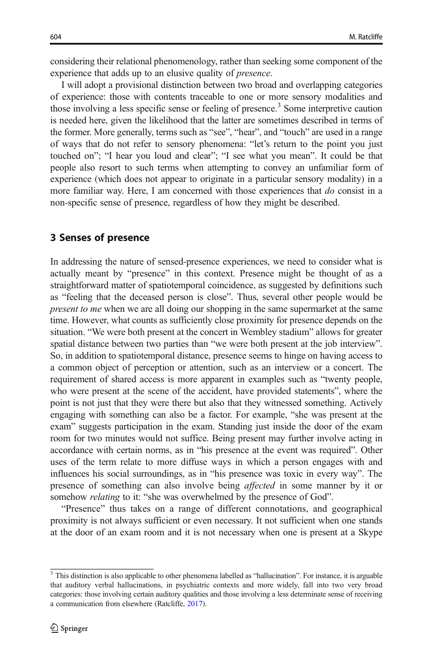considering their relational phenomenology, rather than seeking some component of the experience that adds up to an elusive quality of presence.

I will adopt a provisional distinction between two broad and overlapping categories of experience: those with contents traceable to one or more sensory modalities and those involving a less specific sense or feeling of presence.<sup>3</sup> Some interpretive caution is needed here, given the likelihood that the latter are sometimes described in terms of the former. More generally, terms such as "see", "hear", and "touch" are used in a range of ways that do not refer to sensory phenomena: "let's return to the point you just touched on"; "I hear you loud and clear"; "I see what you mean". It could be that people also resort to such terms when attempting to convey an unfamiliar form of experience (which does not appear to originate in a particular sensory modality) in a more familiar way. Here, I am concerned with those experiences that *do* consist in a non-specific sense of presence, regardless of how they might be described.

#### 3 Senses of presence

In addressing the nature of sensed-presence experiences, we need to consider what is actually meant by "presence" in this context. Presence might be thought of as a straightforward matter of spatiotemporal coincidence, as suggested by definitions such as "feeling that the deceased person is close". Thus, several other people would be present to me when we are all doing our shopping in the same supermarket at the same time. However, what counts as sufficiently close proximity for presence depends on the situation. "We were both present at the concert in Wembley stadium" allows for greater spatial distance between two parties than "we were both present at the job interview". So, in addition to spatiotemporal distance, presence seems to hinge on having access to a common object of perception or attention, such as an interview or a concert. The requirement of shared access is more apparent in examples such as "twenty people, who were present at the scene of the accident, have provided statements", where the point is not just that they were there but also that they witnessed something. Actively engaging with something can also be a factor. For example, "she was present at the exam" suggests participation in the exam. Standing just inside the door of the exam room for two minutes would not suffice. Being present may further involve acting in accordance with certain norms, as in "his presence at the event was required". Other uses of the term relate to more diffuse ways in which a person engages with and influences his social surroundings, as in "his presence was toxic in every way". The presence of something can also involve being affected in some manner by it or somehow *relating* to it: "she was overwhelmed by the presence of God".

"Presence" thus takes on a range of different connotations, and geographical proximity is not always sufficient or even necessary. It not sufficient when one stands at the door of an exam room and it is not necessary when one is present at a Skype

<sup>&</sup>lt;sup>3</sup> This distinction is also applicable to other phenomena labelled as "hallucination". For instance, it is arguable that auditory verbal hallucinations, in psychiatric contexts and more widely, fall into two very broad categories: those involving certain auditory qualities and those involving a less determinate sense of receiving a communication from elsewhere (Ratcliffe, [2017\)](#page-15-0).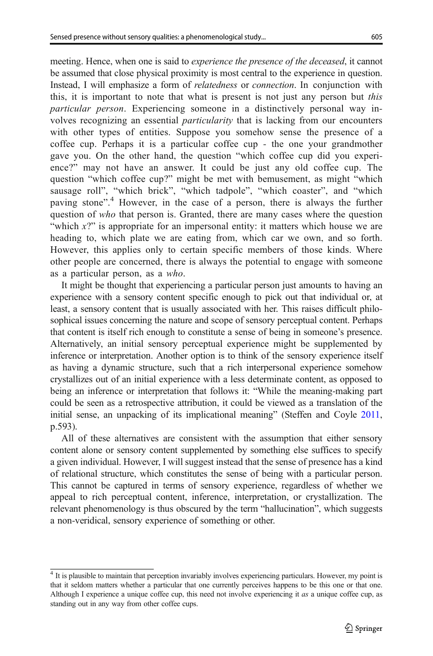meeting. Hence, when one is said to *experience the presence of the deceased*, it cannot be assumed that close physical proximity is most central to the experience in question. Instead, I will emphasize a form of relatedness or connection. In conjunction with this, it is important to note that what is present is not just any person but this particular person. Experiencing someone in a distinctively personal way involves recognizing an essential *particularity* that is lacking from our encounters with other types of entities. Suppose you somehow sense the presence of a coffee cup. Perhaps it is a particular coffee cup - the one your grandmother gave you. On the other hand, the question "which coffee cup did you experience?" may not have an answer. It could be just any old coffee cup. The question "which coffee cup?" might be met with bemusement, as might "which sausage roll", "which brick", "which tadpole", "which coaster", and "which paving stone". <sup>4</sup> However, in the case of a person, there is always the further question of who that person is. Granted, there are many cases where the question "which  $x$ ?" is appropriate for an impersonal entity: it matters which house we are heading to, which plate we are eating from, which car we own, and so forth. However, this applies only to certain specific members of those kinds. Where other people are concerned, there is always the potential to engage with someone as a particular person, as a who.

It might be thought that experiencing a particular person just amounts to having an experience with a sensory content specific enough to pick out that individual or, at least, a sensory content that is usually associated with her. This raises difficult philosophical issues concerning the nature and scope of sensory perceptual content. Perhaps that content is itself rich enough to constitute a sense of being in someone's presence. Alternatively, an initial sensory perceptual experience might be supplemented by inference or interpretation. Another option is to think of the sensory experience itself as having a dynamic structure, such that a rich interpersonal experience somehow crystallizes out of an initial experience with a less determinate content, as opposed to being an inference or interpretation that follows it: "While the meaning-making part could be seen as a retrospective attribution, it could be viewed as a translation of the initial sense, an unpacking of its implicational meaning" (Steffen and Coyle [2011,](#page-15-0) p.593).

All of these alternatives are consistent with the assumption that either sensory content alone or sensory content supplemented by something else suffices to specify a given individual. However, I will suggest instead that the sense of presence has a kind of relational structure, which constitutes the sense of being with a particular person. This cannot be captured in terms of sensory experience, regardless of whether we appeal to rich perceptual content, inference, interpretation, or crystallization. The relevant phenomenology is thus obscured by the term "hallucination", which suggests a non-veridical, sensory experience of something or other.

<sup>&</sup>lt;sup>4</sup> It is plausible to maintain that perception invariably involves experiencing particulars. However, my point is that it seldom matters whether a particular that one currently perceives happens to be this one or that one. Although I experience a unique coffee cup, this need not involve experiencing it as a unique coffee cup, as standing out in any way from other coffee cups.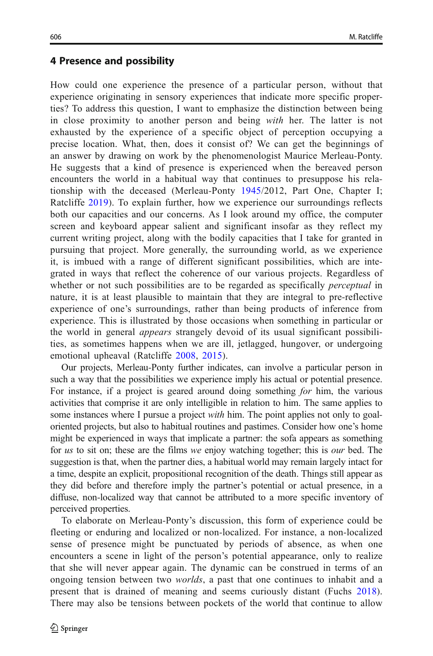#### 4 Presence and possibility

How could one experience the presence of a particular person, without that experience originating in sensory experiences that indicate more specific properties? To address this question, I want to emphasize the distinction between being in close proximity to another person and being with her. The latter is not exhausted by the experience of a specific object of perception occupying a precise location. What, then, does it consist of? We can get the beginnings of an answer by drawing on work by the phenomenologist Maurice Merleau-Ponty. He suggests that a kind of presence is experienced when the bereaved person encounters the world in a habitual way that continues to presuppose his relationship with the deceased (Merleau-Ponty [1945](#page-15-0)/2012, Part One, Chapter I; Ratcliffe [2019](#page-15-0)). To explain further, how we experience our surroundings reflects both our capacities and our concerns. As I look around my office, the computer screen and keyboard appear salient and significant insofar as they reflect my current writing project, along with the bodily capacities that I take for granted in pursuing that project. More generally, the surrounding world, as we experience it, is imbued with a range of different significant possibilities, which are integrated in ways that reflect the coherence of our various projects. Regardless of whether or not such possibilities are to be regarded as specifically *perceptual* in nature, it is at least plausible to maintain that they are integral to pre-reflective experience of one's surroundings, rather than being products of inference from experience. This is illustrated by those occasions when something in particular or the world in general *appears* strangely devoid of its usual significant possibilities, as sometimes happens when we are ill, jetlagged, hungover, or undergoing emotional upheaval (Ratcliffe [2008,](#page-15-0) [2015\)](#page-15-0).

Our projects, Merleau-Ponty further indicates, can involve a particular person in such a way that the possibilities we experience imply his actual or potential presence. For instance, if a project is geared around doing something for him, the various activities that comprise it are only intelligible in relation to him. The same applies to some instances where I pursue a project *with* him. The point applies not only to goaloriented projects, but also to habitual routines and pastimes. Consider how one's home might be experienced in ways that implicate a partner: the sofa appears as something for us to sit on; these are the films we enjoy watching together; this is *our* bed. The suggestion is that, when the partner dies, a habitual world may remain largely intact for a time, despite an explicit, propositional recognition of the death. Things still appear as they did before and therefore imply the partner's potential or actual presence, in a diffuse, non-localized way that cannot be attributed to a more specific inventory of perceived properties.

To elaborate on Merleau-Ponty's discussion, this form of experience could be fleeting or enduring and localized or non-localized. For instance, a non-localized sense of presence might be punctuated by periods of absence, as when one encounters a scene in light of the person's potential appearance, only to realize that she will never appear again. The dynamic can be construed in terms of an ongoing tension between two worlds, a past that one continues to inhabit and a present that is drained of meaning and seems curiously distant (Fuchs [2018\)](#page-15-0). There may also be tensions between pockets of the world that continue to allow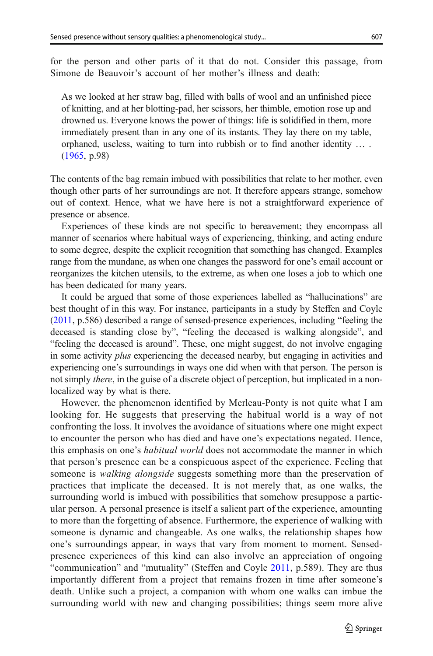for the person and other parts of it that do not. Consider this passage, from Simone de Beauvoir's account of her mother's illness and death:

As we looked at her straw bag, filled with balls of wool and an unfinished piece of knitting, and at her blotting-pad, her scissors, her thimble, emotion rose up and drowned us. Everyone knows the power of things: life is solidified in them, more immediately present than in any one of its instants. They lay there on my table, orphaned, useless, waiting to turn into rubbish or to find another identity … . [\(1965](#page-14-0), p.98)

The contents of the bag remain imbued with possibilities that relate to her mother, even though other parts of her surroundings are not. It therefore appears strange, somehow out of context. Hence, what we have here is not a straightforward experience of presence or absence.

Experiences of these kinds are not specific to bereavement; they encompass all manner of scenarios where habitual ways of experiencing, thinking, and acting endure to some degree, despite the explicit recognition that something has changed. Examples range from the mundane, as when one changes the password for one's email account or reorganizes the kitchen utensils, to the extreme, as when one loses a job to which one has been dedicated for many years.

It could be argued that some of those experiences labelled as "hallucinations" are best thought of in this way. For instance, participants in a study by Steffen and Coyle [\(2011](#page-15-0), p.586) described a range of sensed-presence experiences, including "feeling the deceased is standing close by", "feeling the deceased is walking alongside", and "feeling the deceased is around". These, one might suggest, do not involve engaging in some activity *plus* experiencing the deceased nearby, but engaging in activities and experiencing one's surroundings in ways one did when with that person. The person is not simply *there*, in the guise of a discrete object of perception, but implicated in a nonlocalized way by what is there.

However, the phenomenon identified by Merleau-Ponty is not quite what I am looking for. He suggests that preserving the habitual world is a way of not confronting the loss. It involves the avoidance of situations where one might expect to encounter the person who has died and have one's expectations negated. Hence, this emphasis on one's *habitual world* does not accommodate the manner in which that person's presence can be a conspicuous aspect of the experience. Feeling that someone is *walking alongside* suggests something more than the preservation of practices that implicate the deceased. It is not merely that, as one walks, the surrounding world is imbued with possibilities that somehow presuppose a particular person. A personal presence is itself a salient part of the experience, amounting to more than the forgetting of absence. Furthermore, the experience of walking with someone is dynamic and changeable. As one walks, the relationship shapes how one's surroundings appear, in ways that vary from moment to moment. Sensedpresence experiences of this kind can also involve an appreciation of ongoing "communication" and "mutuality" (Steffen and Coyle [2011,](#page-15-0) p.589). They are thus importantly different from a project that remains frozen in time after someone's death. Unlike such a project, a companion with whom one walks can imbue the surrounding world with new and changing possibilities; things seem more alive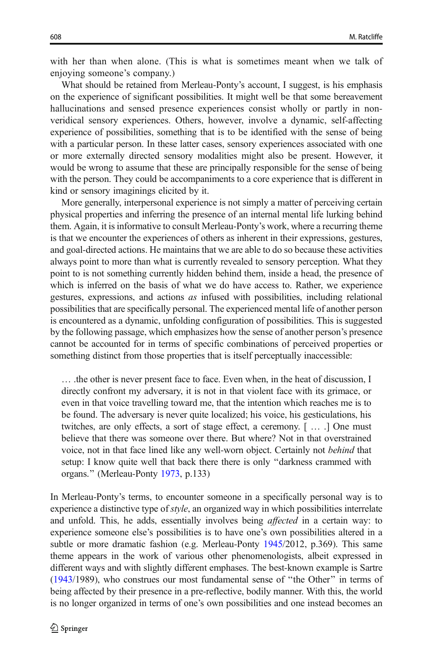with her than when alone. (This is what is sometimes meant when we talk of enjoying someone's company.)

What should be retained from Merleau-Ponty's account, I suggest, is his emphasis on the experience of significant possibilities. It might well be that some bereavement hallucinations and sensed presence experiences consist wholly or partly in nonveridical sensory experiences. Others, however, involve a dynamic, self-affecting experience of possibilities, something that is to be identified with the sense of being with a particular person. In these latter cases, sensory experiences associated with one or more externally directed sensory modalities might also be present. However, it would be wrong to assume that these are principally responsible for the sense of being with the person. They could be accompaniments to a core experience that is different in kind or sensory imaginings elicited by it.

More generally, interpersonal experience is not simply a matter of perceiving certain physical properties and inferring the presence of an internal mental life lurking behind them. Again, it is informative to consult Merleau-Ponty's work, where a recurring theme is that we encounter the experiences of others as inherent in their expressions, gestures, and goal-directed actions. He maintains that we are able to do so because these activities always point to more than what is currently revealed to sensory perception. What they point to is not something currently hidden behind them, inside a head, the presence of which is inferred on the basis of what we do have access to. Rather, we experience gestures, expressions, and actions as infused with possibilities, including relational possibilities that are specifically personal. The experienced mental life of another person is encountered as a dynamic, unfolding configuration of possibilities. This is suggested by the following passage, which emphasizes how the sense of another person's presence cannot be accounted for in terms of specific combinations of perceived properties or something distinct from those properties that is itself perceptually inaccessible:

… .the other is never present face to face. Even when, in the heat of discussion, I directly confront my adversary, it is not in that violent face with its grimace, or even in that voice travelling toward me, that the intention which reaches me is to be found. The adversary is never quite localized; his voice, his gesticulations, his twitches, are only effects, a sort of stage effect, a ceremony. [ … .] One must believe that there was someone over there. But where? Not in that overstrained voice, not in that face lined like any well-worn object. Certainly not behind that setup: I know quite well that back there there is only ''darkness crammed with organs.'' (Merleau-Ponty [1973,](#page-15-0) p.133)

In Merleau-Ponty's terms, to encounter someone in a specifically personal way is to experience a distinctive type of *style*, an organized way in which possibilities interrelate and unfold. This, he adds, essentially involves being *affected* in a certain way: to experience someone else's possibilities is to have one's own possibilities altered in a subtle or more dramatic fashion (e.g. Merleau-Ponty [1945/](#page-15-0)2012, p.369). This same theme appears in the work of various other phenomenologists, albeit expressed in different ways and with slightly different emphases. The best-known example is Sartre [\(1943/](#page-15-0)1989), who construes our most fundamental sense of ''the Other'' in terms of being affected by their presence in a pre-reflective, bodily manner. With this, the world is no longer organized in terms of one's own possibilities and one instead becomes an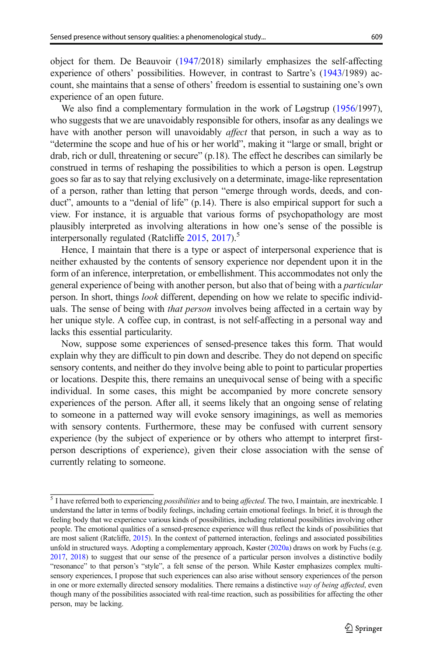object for them. De Beauvoir ([1947](#page-14-0)/2018) similarly emphasizes the self-affecting experience of others' possibilities. However, in contrast to Sartre's ([1943](#page-15-0)/1989) account, she maintains that a sense of others' freedom is essential to sustaining one's own experience of an open future.

We also find a complementary formulation in the work of Løgstrup [\(1956/](#page-15-0)1997), who suggests that we are unavoidably responsible for others, insofar as any dealings we have with another person will unavoidably *affect* that person, in such a way as to "determine the scope and hue of his or her world", making it "large or small, bright or drab, rich or dull, threatening or secure" (p.18). The effect he describes can similarly be construed in terms of reshaping the possibilities to which a person is open. Løgstrup goes so far as to say that relying exclusively on a determinate, image-like representation of a person, rather than letting that person "emerge through words, deeds, and conduct", amounts to a "denial of life" (p.14). There is also empirical support for such a view. For instance, it is arguable that various forms of psychopathology are most plausibly interpreted as involving alterations in how one's sense of the possible is interpersonally regulated (Ratcliffe [2015](#page-15-0), [2017](#page-15-0)).<sup>5</sup>

Hence, I maintain that there is a type or aspect of interpersonal experience that is neither exhausted by the contents of sensory experience nor dependent upon it in the form of an inference, interpretation, or embellishment. This accommodates not only the general experience of being with another person, but also that of being with a particular person. In short, things look different, depending on how we relate to specific individuals. The sense of being with *that person* involves being affected in a certain way by her unique style. A coffee cup, in contrast, is not self-affecting in a personal way and lacks this essential particularity.

Now, suppose some experiences of sensed-presence takes this form. That would explain why they are difficult to pin down and describe. They do not depend on specific sensory contents, and neither do they involve being able to point to particular properties or locations. Despite this, there remains an unequivocal sense of being with a specific individual. In some cases, this might be accompanied by more concrete sensory experiences of the person. After all, it seems likely that an ongoing sense of relating to someone in a patterned way will evoke sensory imaginings, as well as memories with sensory contents. Furthermore, these may be confused with current sensory experience (by the subject of experience or by others who attempt to interpret firstperson descriptions of experience), given their close association with the sense of currently relating to someone.

 $5$  I have referred both to experiencing *possibilities* and to being *affected*. The two, I maintain, are inextricable. I understand the latter in terms of bodily feelings, including certain emotional feelings. In brief, it is through the feeling body that we experience various kinds of possibilities, including relational possibilities involving other people. The emotional qualities of a sensed-presence experience will thus reflect the kinds of possibilities that are most salient (Ratcliffe, [2015\)](#page-15-0). In the context of patterned interaction, feelings and associated possibilities unfold in structured ways. Adopting a complementary approach, Køster [\(2020a](#page-15-0)) draws on work by Fuchs (e.g. [2017,](#page-15-0) [2018](#page-15-0)) to suggest that our sense of the presence of a particular person involves a distinctive bodily "resonance" to that person's "style", a felt sense of the person. While Køster emphasizes complex multisensory experiences, I propose that such experiences can also arise without sensory experiences of the person in one or more externally directed sensory modalities. There remains a distinctive way of being affected, even though many of the possibilities associated with real-time reaction, such as possibilities for affecting the other person, may be lacking.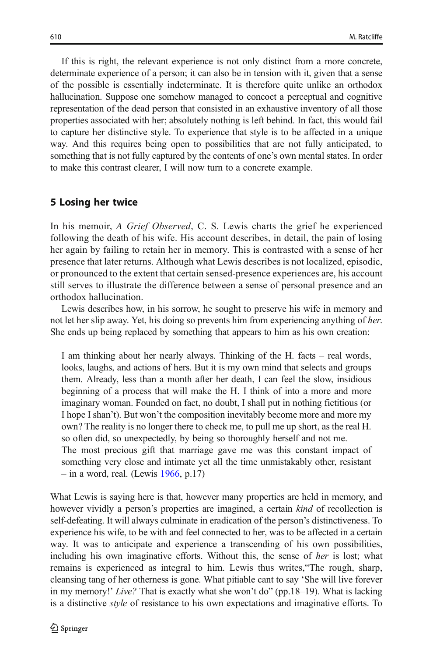If this is right, the relevant experience is not only distinct from a more concrete, determinate experience of a person; it can also be in tension with it, given that a sense of the possible is essentially indeterminate. It is therefore quite unlike an orthodox hallucination. Suppose one somehow managed to concoct a perceptual and cognitive representation of the dead person that consisted in an exhaustive inventory of all those properties associated with her; absolutely nothing is left behind. In fact, this would fail to capture her distinctive style. To experience that style is to be affected in a unique way. And this requires being open to possibilities that are not fully anticipated, to something that is not fully captured by the contents of one's own mental states. In order to make this contrast clearer, I will now turn to a concrete example.

#### 5 Losing her twice

In his memoir, A Grief Observed, C. S. Lewis charts the grief he experienced following the death of his wife. His account describes, in detail, the pain of losing her again by failing to retain her in memory. This is contrasted with a sense of her presence that later returns. Although what Lewis describes is not localized, episodic, or pronounced to the extent that certain sensed-presence experiences are, his account still serves to illustrate the difference between a sense of personal presence and an orthodox hallucination.

Lewis describes how, in his sorrow, he sought to preserve his wife in memory and not let her slip away. Yet, his doing so prevents him from experiencing anything of her. She ends up being replaced by something that appears to him as his own creation:

I am thinking about her nearly always. Thinking of the H. facts – real words, looks, laughs, and actions of hers. But it is my own mind that selects and groups them. Already, less than a month after her death, I can feel the slow, insidious beginning of a process that will make the H. I think of into a more and more imaginary woman. Founded on fact, no doubt, I shall put in nothing fictitious (or I hope I shan't). But won't the composition inevitably become more and more my own? The reality is no longer there to check me, to pull me up short, as the real H. so often did, so unexpectedly, by being so thoroughly herself and not me. The most precious gift that marriage gave me was this constant impact of something very close and intimate yet all the time unmistakably other, resistant  $-$  in a word, real. (Lewis [1966](#page-15-0), p.17)

What Lewis is saying here is that, however many properties are held in memory, and however vividly a person's properties are imagined, a certain *kind* of recollection is self-defeating. It will always culminate in eradication of the person's distinctiveness. To experience his wife, to be with and feel connected to her, was to be affected in a certain way. It was to anticipate and experience a transcending of his own possibilities, including his own imaginative efforts. Without this, the sense of her is lost; what remains is experienced as integral to him. Lewis thus writes,"The rough, sharp, cleansing tang of her otherness is gone. What pitiable cant to say 'She will live forever in my memory!' Live? That is exactly what she won't do" (pp.18–19). What is lacking is a distinctive *style* of resistance to his own expectations and imaginative efforts. To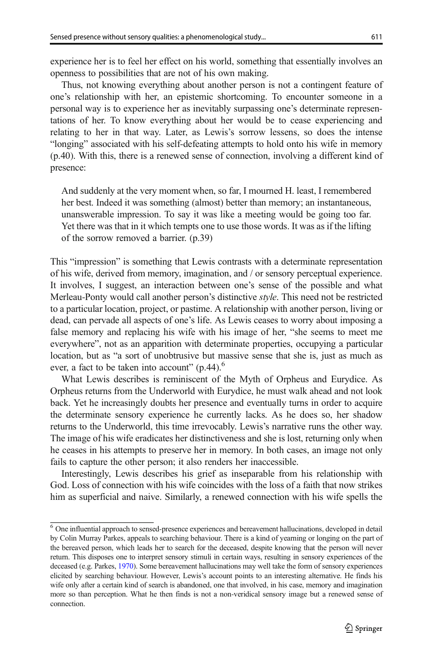experience her is to feel her effect on his world, something that essentially involves an openness to possibilities that are not of his own making.

Thus, not knowing everything about another person is not a contingent feature of one's relationship with her, an epistemic shortcoming. To encounter someone in a personal way is to experience her as inevitably surpassing one's determinate representations of her. To know everything about her would be to cease experiencing and relating to her in that way. Later, as Lewis's sorrow lessens, so does the intense "longing" associated with his self-defeating attempts to hold onto his wife in memory (p.40). With this, there is a renewed sense of connection, involving a different kind of presence:

And suddenly at the very moment when, so far, I mourned H. least, I remembered her best. Indeed it was something (almost) better than memory; an instantaneous, unanswerable impression. To say it was like a meeting would be going too far. Yet there was that in it which tempts one to use those words. It was as if the lifting of the sorrow removed a barrier. (p.39)

This "impression" is something that Lewis contrasts with a determinate representation of his wife, derived from memory, imagination, and / or sensory perceptual experience. It involves, I suggest, an interaction between one's sense of the possible and what Merleau-Ponty would call another person's distinctive style. This need not be restricted to a particular location, project, or pastime. A relationship with another person, living or dead, can pervade all aspects of one's life. As Lewis ceases to worry about imposing a false memory and replacing his wife with his image of her, "she seems to meet me everywhere", not as an apparition with determinate properties, occupying a particular location, but as "a sort of unobtrusive but massive sense that she is, just as much as ever, a fact to be taken into account"  $(p.44)$ .<sup>6</sup>

What Lewis describes is reminiscent of the Myth of Orpheus and Eurydice. As Orpheus returns from the Underworld with Eurydice, he must walk ahead and not look back. Yet he increasingly doubts her presence and eventually turns in order to acquire the determinate sensory experience he currently lacks. As he does so, her shadow returns to the Underworld, this time irrevocably. Lewis's narrative runs the other way. The image of his wife eradicates her distinctiveness and she is lost, returning only when he ceases in his attempts to preserve her in memory. In both cases, an image not only fails to capture the other person; it also renders her inaccessible.

Interestingly, Lewis describes his grief as inseparable from his relationship with God. Loss of connection with his wife coincides with the loss of a faith that now strikes him as superficial and naive. Similarly, a renewed connection with his wife spells the

<sup>&</sup>lt;sup>6</sup> One influential approach to sensed-presence experiences and bereavement hallucinations, developed in detail by Colin Murray Parkes, appeals to searching behaviour. There is a kind of yearning or longing on the part of the bereaved person, which leads her to search for the deceased, despite knowing that the person will never return. This disposes one to interpret sensory stimuli in certain ways, resulting in sensory experiences of the deceased (e.g. Parkes, [1970](#page-15-0)). Some bereavement hallucinations may well take the form of sensory experiences elicited by searching behaviour. However, Lewis's account points to an interesting alternative. He finds his wife only after a certain kind of search is abandoned, one that involved, in his case, memory and imagination more so than perception. What he then finds is not a non-veridical sensory image but a renewed sense of connection.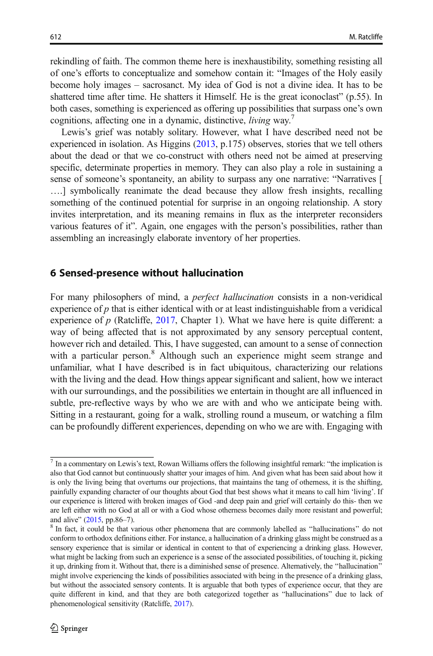rekindling of faith. The common theme here is inexhaustibility, something resisting all of one's efforts to conceptualize and somehow contain it: "Images of the Holy easily become holy images – sacrosanct. My idea of God is not a divine idea. It has to be shattered time after time. He shatters it Himself. He is the great iconoclast" (p.55). In both cases, something is experienced as offering up possibilities that surpass one's own cognitions, affecting one in a dynamic, distinctive, *living* way.<sup>7</sup>

Lewis's grief was notably solitary. However, what I have described need not be experienced in isolation. As Higgins [\(2013,](#page-15-0) p.175) observes, stories that we tell others about the dead or that we co-construct with others need not be aimed at preserving specific, determinate properties in memory. They can also play a role in sustaining a sense of someone's spontaneity, an ability to surpass any one narrative: "Narratives [ ….] symbolically reanimate the dead because they allow fresh insights, recalling something of the continued potential for surprise in an ongoing relationship. A story invites interpretation, and its meaning remains in flux as the interpreter reconsiders various features of it". Again, one engages with the person's possibilities, rather than assembling an increasingly elaborate inventory of her properties.

#### 6 Sensed-presence without hallucination

For many philosophers of mind, a *perfect hallucination* consists in a non-veridical experience of  $p$  that is either identical with or at least indistinguishable from a veridical experience of  $p$  (Ratcliffe, [2017,](#page-15-0) Chapter 1). What we have here is quite different: a way of being affected that is not approximated by any sensory perceptual content, however rich and detailed. This, I have suggested, can amount to a sense of connection with a particular person.<sup>8</sup> Although such an experience might seem strange and unfamiliar, what I have described is in fact ubiquitous, characterizing our relations with the living and the dead. How things appear significant and salient, how we interact with our surroundings, and the possibilities we entertain in thought are all influenced in subtle, pre-reflective ways by who we are with and who we anticipate being with. Sitting in a restaurant, going for a walk, strolling round a museum, or watching a film can be profoundly different experiences, depending on who we are with. Engaging with

 $\frac{7}{7}$  In a commentary on Lewis's text, Rowan Williams offers the following insightful remark: "the implication is also that God cannot but continuously shatter your images of him. And given what has been said about how it is only the living being that overturns our projections, that maintains the tang of otherness, it is the shifting, painfully expanding character of our thoughts about God that best shows what it means to call him 'living'. If our experience is littered with broken images of God -and deep pain and grief will certainly do this- then we are left either with no God at all or with a God whose otherness becomes daily more resistant and powerful; and alive"  $(2015, pp.86-7)$  $(2015, pp.86-7)$  $(2015, pp.86-7)$ .<br><sup>8</sup> In fact, it could be that various other phenomena that are commonly labelled as "hallucinations" do not

conform to orthodox definitions either. For instance, a hallucination of a drinking glass might be construed as a sensory experience that is similar or identical in content to that of experiencing a drinking glass. However, what might be lacking from such an experience is a sense of the associated possibilities, of touching it, picking it up, drinking from it. Without that, there is a diminished sense of presence. Alternatively, the ''hallucination'' might involve experiencing the kinds of possibilities associated with being in the presence of a drinking glass, but without the associated sensory contents. It is arguable that both types of experience occur, that they are quite different in kind, and that they are both categorized together as "hallucinations" due to lack of phenomenological sensitivity (Ratcliffe, [2017](#page-15-0)).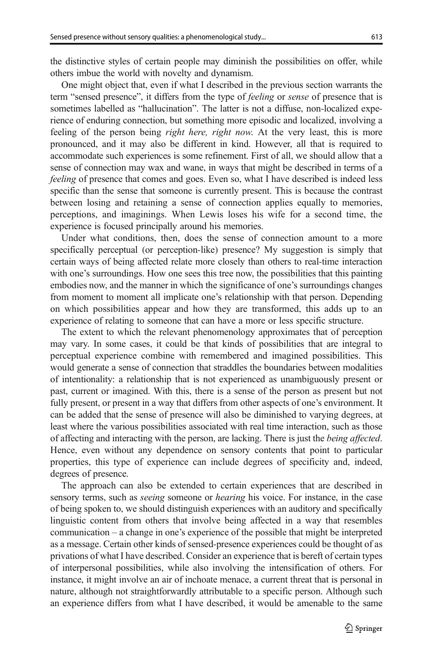the distinctive styles of certain people may diminish the possibilities on offer, while others imbue the world with novelty and dynamism.

One might object that, even if what I described in the previous section warrants the term "sensed presence", it differs from the type of feeling or sense of presence that is sometimes labelled as "hallucination". The latter is not a diffuse, non-localized experience of enduring connection, but something more episodic and localized, involving a feeling of the person being *right here, right now*. At the very least, this is more pronounced, and it may also be different in kind. However, all that is required to accommodate such experiences is some refinement. First of all, we should allow that a sense of connection may wax and wane, in ways that might be described in terms of a feeling of presence that comes and goes. Even so, what I have described is indeed less specific than the sense that someone is currently present. This is because the contrast between losing and retaining a sense of connection applies equally to memories, perceptions, and imaginings. When Lewis loses his wife for a second time, the experience is focused principally around his memories.

Under what conditions, then, does the sense of connection amount to a more specifically perceptual (or perception-like) presence? My suggestion is simply that certain ways of being affected relate more closely than others to real-time interaction with one's surroundings. How one sees this tree now, the possibilities that this painting embodies now, and the manner in which the significance of one's surroundings changes from moment to moment all implicate one's relationship with that person. Depending on which possibilities appear and how they are transformed, this adds up to an experience of relating to someone that can have a more or less specific structure.

The extent to which the relevant phenomenology approximates that of perception may vary. In some cases, it could be that kinds of possibilities that are integral to perceptual experience combine with remembered and imagined possibilities. This would generate a sense of connection that straddles the boundaries between modalities of intentionality: a relationship that is not experienced as unambiguously present or past, current or imagined. With this, there is a sense of the person as present but not fully present, or present in a way that differs from other aspects of one's environment. It can be added that the sense of presence will also be diminished to varying degrees, at least where the various possibilities associated with real time interaction, such as those of affecting and interacting with the person, are lacking. There is just the *being affected*. Hence, even without any dependence on sensory contents that point to particular properties, this type of experience can include degrees of specificity and, indeed, degrees of presence.

The approach can also be extended to certain experiences that are described in sensory terms, such as *seeing* someone or *hearing* his voice. For instance, in the case of being spoken to, we should distinguish experiences with an auditory and specifically linguistic content from others that involve being affected in a way that resembles communication – a change in one's experience of the possible that might be interpreted as a message. Certain other kinds of sensed-presence experiences could be thought of as privations of what I have described. Consider an experience that is bereft of certain types of interpersonal possibilities, while also involving the intensification of others. For instance, it might involve an air of inchoate menace, a current threat that is personal in nature, although not straightforwardly attributable to a specific person. Although such an experience differs from what I have described, it would be amenable to the same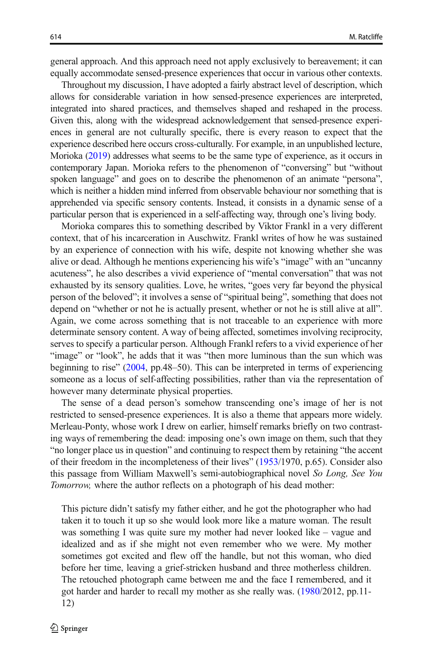general approach. And this approach need not apply exclusively to bereavement; it can equally accommodate sensed-presence experiences that occur in various other contexts.

Throughout my discussion, I have adopted a fairly abstract level of description, which allows for considerable variation in how sensed-presence experiences are interpreted, integrated into shared practices, and themselves shaped and reshaped in the process. Given this, along with the widespread acknowledgement that sensed-presence experiences in general are not culturally specific, there is every reason to expect that the experience described here occurs cross-culturally. For example, in an unpublished lecture, Morioka ([2019\)](#page-15-0) addresses what seems to be the same type of experience, as it occurs in contemporary Japan. Morioka refers to the phenomenon of "conversing" but "without spoken language" and goes on to describe the phenomenon of an animate "persona", which is neither a hidden mind inferred from observable behaviour nor something that is apprehended via specific sensory contents. Instead, it consists in a dynamic sense of a particular person that is experienced in a self-affecting way, through one's living body.

Morioka compares this to something described by Viktor Frankl in a very different context, that of his incarceration in Auschwitz. Frankl writes of how he was sustained by an experience of connection with his wife, despite not knowing whether she was alive or dead. Although he mentions experiencing his wife's "image" with an "uncanny acuteness", he also describes a vivid experience of "mental conversation" that was not exhausted by its sensory qualities. Love, he writes, "goes very far beyond the physical person of the beloved"; it involves a sense of "spiritual being", something that does not depend on "whether or not he is actually present, whether or not he is still alive at all". Again, we come across something that is not traceable to an experience with more determinate sensory content. A way of being affected, sometimes involving reciprocity, serves to specify a particular person. Although Frankl refers to a vivid experience of her "image" or "look", he adds that it was "then more luminous than the sun which was beginning to rise" [\(2004](#page-15-0), pp.48–50). This can be interpreted in terms of experiencing someone as a locus of self-affecting possibilities, rather than via the representation of however many determinate physical properties.

The sense of a dead person's somehow transcending one's image of her is not restricted to sensed-presence experiences. It is also a theme that appears more widely. Merleau-Ponty, whose work I drew on earlier, himself remarks briefly on two contrasting ways of remembering the dead: imposing one's own image on them, such that they "no longer place us in question" and continuing to respect them by retaining "the accent of their freedom in the incompleteness of their lives" ([1953/](#page-15-0)1970, p.65). Consider also this passage from William Maxwell's semi-autobiographical novel So Long, See You Tomorrow, where the author reflects on a photograph of his dead mother:

This picture didn't satisfy my father either, and he got the photographer who had taken it to touch it up so she would look more like a mature woman. The result was something I was quite sure my mother had never looked like – vague and idealized and as if she might not even remember who we were. My mother sometimes got excited and flew off the handle, but not this woman, who died before her time, leaving a grief-stricken husband and three motherless children. The retouched photograph came between me and the face I remembered, and it got harder and harder to recall my mother as she really was. [\(1980/](#page-15-0)2012, pp.11- 12)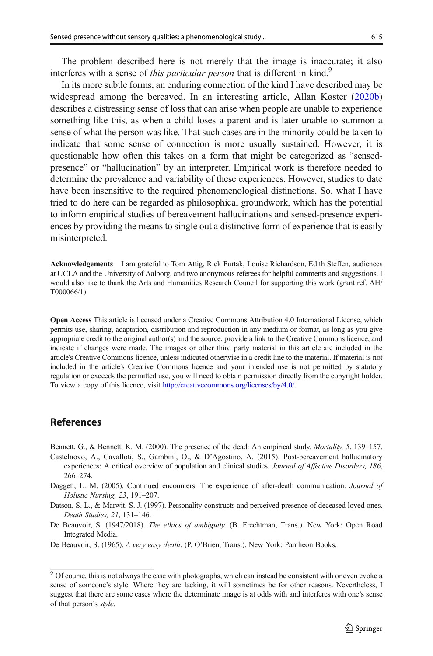<span id="page-14-0"></span>The problem described here is not merely that the image is inaccurate; it also interferes with a sense of *this particular person* that is different in kind.<sup>9</sup>

In its more subtle forms, an enduring connection of the kind I have described may be widespread among the bereaved. In an interesting article, Allan Køster ([2020b](#page-15-0)) describes a distressing sense of loss that can arise when people are unable to experience something like this, as when a child loses a parent and is later unable to summon a sense of what the person was like. That such cases are in the minority could be taken to indicate that some sense of connection is more usually sustained. However, it is questionable how often this takes on a form that might be categorized as "sensedpresence" or "hallucination" by an interpreter. Empirical work is therefore needed to determine the prevalence and variability of these experiences. However, studies to date have been insensitive to the required phenomenological distinctions. So, what I have tried to do here can be regarded as philosophical groundwork, which has the potential to inform empirical studies of bereavement hallucinations and sensed-presence experiences by providing the means to single out a distinctive form of experience that is easily misinterpreted.

Acknowledgements I am grateful to Tom Attig, Rick Furtak, Louise Richardson, Edith Steffen, audiences at UCLA and the University of Aalborg, and two anonymous referees for helpful comments and suggestions. I would also like to thank the Arts and Humanities Research Council for supporting this work (grant ref. AH/ T000066/1).

Open Access This article is licensed under a Creative Commons Attribution 4.0 International License, which permits use, sharing, adaptation, distribution and reproduction in any medium or format, as long as you give appropriate credit to the original author(s) and the source, provide a link to the Creative Commons licence, and indicate if changes were made. The images or other third party material in this article are included in the article's Creative Commons licence, unless indicated otherwise in a credit line to the material. If material is not included in the article's Creative Commons licence and your intended use is not permitted by statutory regulation or exceeds the permitted use, you will need to obtain permission directly from the copyright holder. To view a copy of this licence, visit [http://creativecommons.org/licenses/by/4.0/.](http://creativecommons.org/licenses/by/4.0/)

#### References

Bennett, G., & Bennett, K. M. (2000). The presence of the dead: An empirical study. Mortality, 5, 139–157.

- Castelnovo, A., Cavalloti, S., Gambini, O., & D'Agostino, A. (2015). Post-bereavement hallucinatory experiences: A critical overview of population and clinical studies. Journal of Affective Disorders, 186, 266–274.
- Daggett, L. M. (2005). Continued encounters: The experience of after-death communication. Journal of Holistic Nursing, 23, 191–207.
- Datson, S. L., & Marwit, S. J. (1997). Personality constructs and perceived presence of deceased loved ones. Death Studies, 21, 131–146.
- De Beauvoir, S. (1947/2018). The ethics of ambiguity. (B. Frechtman, Trans.). New York: Open Road Integrated Media.
- De Beauvoir, S. (1965). A very easy death. (P. O'Brien, Trans.). New York: Pantheon Books.

<sup>9</sup> Of course, this is not always the case with photographs, which can instead be consistent with or even evoke a sense of someone's style. Where they are lacking, it will sometimes be for other reasons. Nevertheless, I suggest that there are some cases where the determinate image is at odds with and interferes with one's sense of that person's style.